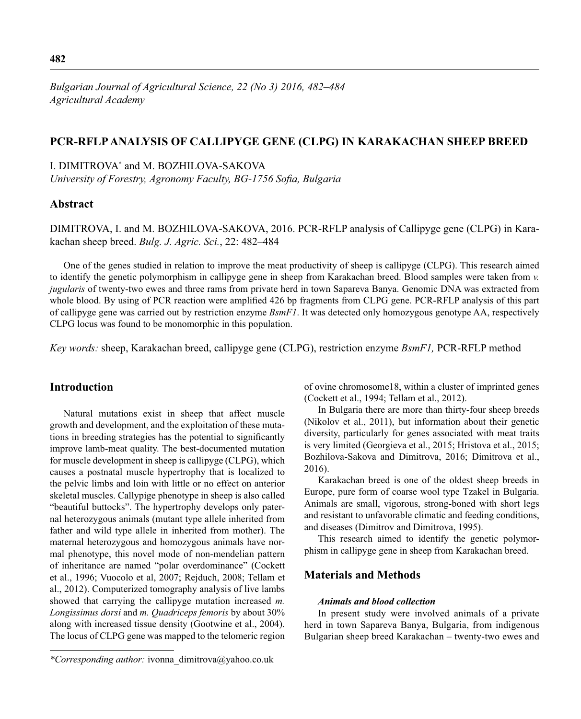# **PCR-RFLP ANALYSIS OF CALLIPYGE GENE (CLPG) IN KARAKACHAN SHEEP BREED**

I. DIMITROVA\* and M. BOZHILOVA-SAKOVA

*University of Forestry, Agronomy Faculty, BG-1756 Sofia, Bulgaria* 

# **Abstract**

DIMITROVA, I. and M. BOZHILOVA-SAKOVA, 2016. PCR-RFLP analysis of Callipyge gene (CLPG) in Karakachan sheep breed. *Bulg. J. Agric. Sci.*, 22: 482–484

One of the genes studied in relation to improve the meat productivity of sheep is callipyge (CLPG). This research aimed to identify the genetic polymorphism in callipyge gene in sheep from Karakachan breed. Blood samples were taken from *v. jugularis* of twenty-two ewes and three rams from private herd in town Sapareva Banya. Genomic DNA was extracted from whole blood. By using of PCR reaction were amplified 426 bp fragments from CLPG gene. PCR-RFLP analysis of this part of callipyge gene was carried out by restriction enzyme *BsmF1*. It was detected only homozygous genotype AA, respectively CLPG locus was found to be monomorphic in this population.

*Key words:* sheep, Karakachan breed, callipyge gene (CLPG), restriction enzyme *BsmF1,* PCR-RFLP method

# **Introduction**

Natural mutations exist in sheep that affect muscle growth and development, and the exploitation of these mutations in breeding strategies has the potential to significantly improve lamb-meat quality. The best-documented mutation for muscle development in sheep is callipyge (CLPG), which causes a postnatal muscle hypertrophy that is localized to the pelvic limbs and loin with little or no effect on anterior skeletal muscles. Callypige phenotype in sheep is also called "beautiful buttocks". The hypertrophy develops only paternal heterozygous animals (mutant type allele inherited from father and wild type allele in inherited from mother). The maternal heterozygous and homozygous animals have normal phenotype, this novel mode of non-mendelian pattern of inheritance are named "polar overdominance" (Cockett et al., 1996; Vuocolo et al, 2007; Rejduch, 2008; Tellam et al., 2012). Computerized tomography analysis of live lambs showed that carrying the callipyge mutation increased *m. Longissimus dorsi* and *m. Quadriceps femoris* by about 30% along with increased tissue density (Gootwine et al., 2004). The locus of CLPG gene was mapped to the telomeric region

of ovine chromosome18, within a cluster of imprinted genes (Cockett et al., 1994; Tellam et al., 2012).

In Bulgaria there are more than thirty-four sheep breeds (Nikolov et al., 2011), but information about their genetic diversity, particularly for genes associated with meat traits is very limited (Georgieva et al., 2015; Hristova et al., 2015; Bozhilova-Sakova and Dimitrova, 2016; Dimitrova et al., 2016).

Karakachan breed is one of the oldest sheep breeds in Europe, pure form of coarse wool type Tzakel in Bulgaria. Animals are small, vigorous, strong-boned with short legs and resistant to unfavorable climatic and feeding conditions, and diseases (Dimitrov and Dimitrova, 1995).

This research aimed to identify the genetic polymorphism in callipyge gene in sheep from Karakachan breed.

## **Materials and Methods**

#### *Animals and blood collection*

In present study were involved animals of a private herd in town Sapareva Banya, Bulgaria, from indigenous Bulgarian sheep breed Karakachan – twenty-two ewes and

*<sup>\*</sup>Corresponding author:* ivonna\_dimitrova@yahoo.co.uk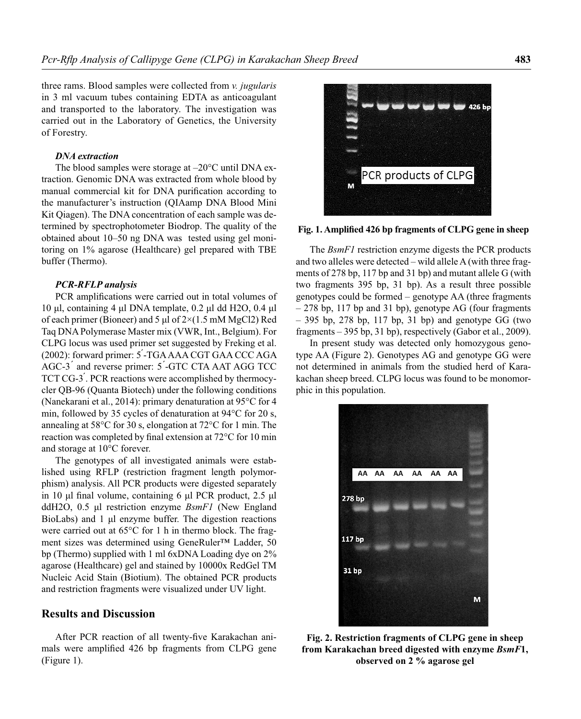three rams. Blood samples were collected from *v. jugularis* in 3 ml vacuum tubes containing EDTA as anticoagulant and transported to the laboratory. The investigation was carried out in the Laboratory of Genetics, the University of Forestry.

### *DNA extraction*

The blood samples were storage at  $-20^{\circ}$ C until DNA extraction. Genomic DNA was extracted from whole blood by manual commercial kit for DNA purification according to the manufacturer's instruction (QIAamp DNA Blood Mini Kit Qiagen). The DNA concentration of each sample was determined by spectrophotometer Biodrop. The quality of the obtained about 10–50 ng DNA was tested using gel monitoring on 1% agarose (Healthcare) gel prepared with TBE buffer (Thermo).

#### *PCR-RFLP analysis*

PCR amplifications were carried out in total volumes of 10 μl, containing 4 μl DNA template, 0.2 μl dd H2O, 0.4 μl of each primer (Bioneer) and 5 μl of 2×(1.5 mM MgCl2) Red Taq DNA Polymerase Master mix (VWR, Int., Belgium). For CLPG locus was used primer set suggested by Freking et al. (2002): forward primer: 5 ́-TGA AAA CGT GAA CCC AGA AGC-3 ́ and reverse primer: 5 ́-GTC CTA AAT AGG TCC TCT CG-3 ́. PCR reactions were accomplished by thermocycler QB-96 (Quanta Biotech) under the following conditions (Nanekarani et al., 2014): primary denaturation at 95°C for 4 min, followed by 35 cycles of denaturation at 94°C for 20 s, annealing at 58°C for 30 s, elongation at 72°C for 1 min. The reaction was completed by final extension at  $72^{\circ}$ C for 10 min and storage at 10°C forever.

The genotypes of all investigated animals were established using RFLP (restriction fragment length polymorphism) analysis. All PCR products were digested separately in 10 μl final volume, containing 6 μl PCR product,  $2.5$  μl ddH2O, 0.5 μl restriction enzyme *BsmF1* (New England BioLabs) and 1 μl enzyme buffer. The digestion reactions were carried out at 65°C for 1 h in thermo block. The fragment sizes was determined using GeneRuler™ Ladder, 50 bp (Thermo) supplied with 1 ml 6xDNA Loading dye on 2% agarose (Healthcare) gel and stained by 10000x RedGel TM Nucleic Acid Stain (Biotium). The obtained PCR products and restriction fragments were visualized under UV light.

### **Results and Discussion**

After PCR reaction of all twenty-five Karakachan animals were amplified 426 bp fragments from CLPG gene (Figure 1).

426 b PCR products of CLPG M

### Fig. 1. Amplified 426 bp fragments of CLPG gene in sheep

The *BsmF1* restriction enzyme digests the PCR products and two alleles were detected – wild allele A (with three fragments of 278 bp, 117 bp and 31 bp) and mutant allele G (with two fragments 395 bp, 31 bp). As a result three possible genotypes could be formed – genotype AA (three fragments  $-278$  bp, 117 bp and 31 bp), genotype AG (four fragments  $-$  395 bp, 278 bp, 117 bp, 31 bp) and genotype GG (two fragments – 395 bp, 31 bp), respectively (Gabor et al., 2009).

In present study was detected only homozygous genotype AA (Figure 2). Genotypes AG and genotype GG were not determined in animals from the studied herd of Karakachan sheep breed. CLPG locus was found to be monomorphic in this population.



**Fig. 2. Restriction fragments of CLPG gene in sheep from Karakachan breed digested with enzyme** *BsmF***1, observed on 2 % agarose gel**